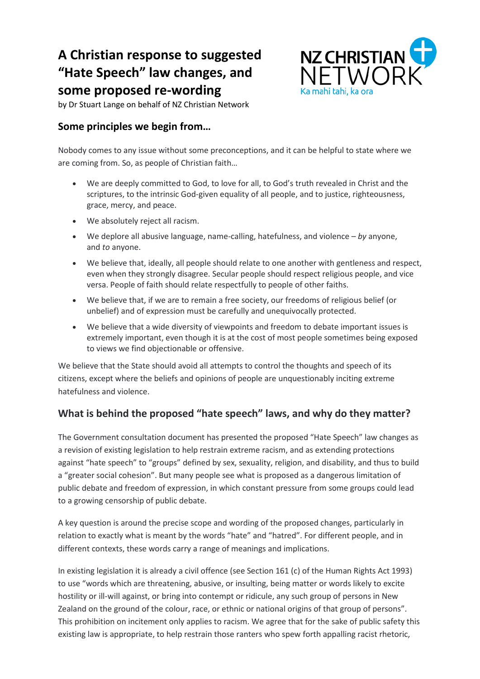# **A Christian response to suggested "Hate Speech" law changes, and some proposed re-wording**



by Dr Stuart Lange on behalf of NZ Christian Network

## **Some principles we begin from…**

Nobody comes to any issue without some preconceptions, and it can be helpful to state where we are coming from. So, as people of Christian faith…

- We are deeply committed to God, to love for all, to God's truth revealed in Christ and the scriptures, to the intrinsic God-given equality of all people, and to justice, righteousness, grace, mercy, and peace.
- We absolutely reject all racism.
- We deplore all abusive language, name-calling, hatefulness, and violence *by* anyone, and *to* anyone.
- We believe that, ideally, all people should relate to one another with gentleness and respect, even when they strongly disagree. Secular people should respect religious people, and vice versa. People of faith should relate respectfully to people of other faiths.
- We believe that, if we are to remain a free society, our freedoms of religious belief (or unbelief) and of expression must be carefully and unequivocally protected.
- We believe that a wide diversity of viewpoints and freedom to debate important issues is extremely important, even though it is at the cost of most people sometimes being exposed to views we find objectionable or offensive.

We believe that the State should avoid all attempts to control the thoughts and speech of its citizens, except where the beliefs and opinions of people are unquestionably inciting extreme hatefulness and violence.

# **What is behind the proposed "hate speech" laws, and why do they matter?**

The Government consultation document has presented the proposed "Hate Speech" law changes as a revision of existing legislation to help restrain extreme racism, and as extending protections against "hate speech" to "groups" defined by sex, sexuality, religion, and disability, and thus to build a "greater social cohesion". But many people see what is proposed as a dangerous limitation of public debate and freedom of expression, in which constant pressure from some groups could lead to a growing censorship of public debate.

A key question is around the precise scope and wording of the proposed changes, particularly in relation to exactly what is meant by the words "hate" and "hatred". For different people, and in different contexts, these words carry a range of meanings and implications.

In existing legislation it is already a civil offence (see Section 161 (c) of the Human Rights Act 1993) to use "words which are threatening, abusive, or insulting, being matter or words likely to excite hostility or ill-will against, or bring into contempt or ridicule, any such group of persons in New Zealand on the ground of the colour, race, or ethnic or national origins of that group of persons". This prohibition on incitement only applies to racism. We agree that for the sake of public safety this existing law is appropriate, to help restrain those ranters who spew forth appalling racist rhetoric,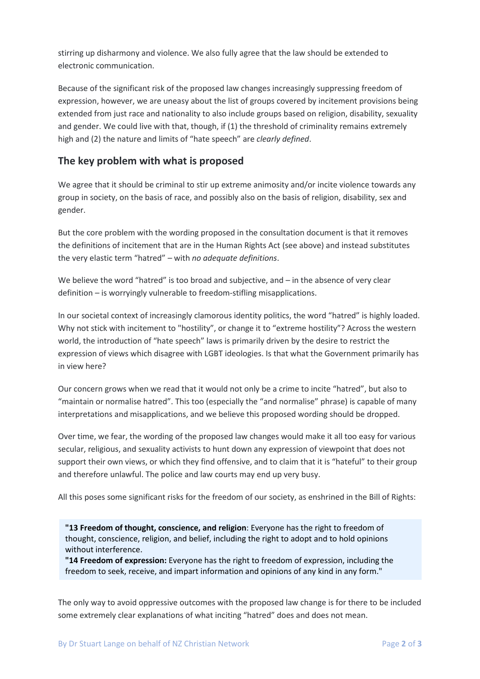stirring up disharmony and violence. We also fully agree that the law should be extended to electronic communication.

Because of the significant risk of the proposed law changes increasingly suppressing freedom of expression, however, we are uneasy about the list of groups covered by incitement provisions being extended from just race and nationality to also include groups based on religion, disability, sexuality and gender. We could live with that, though, if (1) the threshold of criminality remains extremely high and (2) the nature and limits of "hate speech" are *clearly defined*.

## **The key problem with what is proposed**

We agree that it should be criminal to stir up extreme animosity and/or incite violence towards any group in society, on the basis of race, and possibly also on the basis of religion, disability, sex and gender.

But the core problem with the wording proposed in the consultation document is that it removes the definitions of incitement that are in the Human Rights Act (see above) and instead substitutes the very elastic term "hatred" *–* with *no adequate definitions*.

We believe the word "hatred" is too broad and subjective, and *–* in the absence of very clear definition *–* is worryingly vulnerable to freedom-stifling misapplications.

In our societal context of increasingly clamorous identity politics, the word "hatred" is highly loaded. Why not stick with incitement to "hostility", or change it to "extreme hostility"? Across the western world, the introduction of "hate speech" laws is primarily driven by the desire to restrict the expression of views which disagree with LGBT ideologies. Is that what the Government primarily has in view here?

Our concern grows when we read that it would not only be a crime to incite "hatred", but also to "maintain or normalise hatred". This too (especially the "and normalise" phrase) is capable of many interpretations and misapplications, and we believe this proposed wording should be dropped.

Over time, we fear, the wording of the proposed law changes would make it all too easy for various secular, religious, and sexuality activists to hunt down any expression of viewpoint that does not support their own views, or which they find offensive, and to claim that it is "hateful" to their group and therefore unlawful. The police and law courts may end up very busy.

All this poses some significant risks for the freedom of our society, as enshrined in the Bill of Rights:

**"13 Freedom of thought, conscience, and religion**: Everyone has the right to freedom of thought, conscience, religion, and belief, including the right to adopt and to hold opinions without interference.

**"14 Freedom of expression:** Everyone has the right to freedom of expression, including the freedom to seek, receive, and impart information and opinions of any kind in any form."

The only way to avoid oppressive outcomes with the proposed law change is for there to be included some extremely clear explanations of what inciting "hatred" does and does not mean.